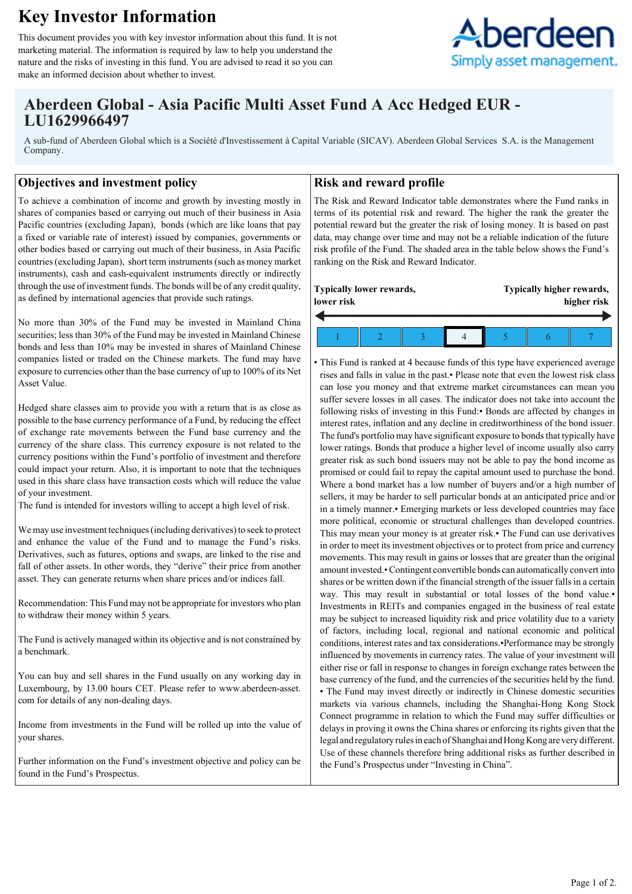# **Key Investor Information**

This document provides you with key investor information about this fund. It is not marketing material. The information is required by law to help you understand the nature and the risks of investing in this fund. You are advised to read it so you can make an informed decision about whether to invest.



# **Aberdeen Global - Asia Pacific Multi Asset Fund A Acc Hedged EUR - LU1629966497**

A sub-fund of Aberdeen Global which is a Société d'Investissement à Capital Variable (SICAV). Aberdeen Global Services S.A. is the Management Company.

## **Objectives and investment policy**

To achieve a combination of income and growth by investing mostly in shares of companies based or carrying out much of their business in Asia Pacific countries (excluding Japan), bonds (which are like loans that pay a fixed or variable rate of interest) issued by companies, governments or other bodies based or carrying out much of their business, in Asia Pacific countries (excluding Japan), short term instruments (such as money market instruments), cash and cash-equivalent instruments directly or indirectly through the use of investment funds. The bonds will be of any credit quality, as defined by international agencies that provide such ratings.

No more than 30% of the Fund may be invested in Mainland China securities; less than 30% of the Fund may be invested in Mainland Chinese bonds and less than 10% may be invested in shares of Mainland Chinese companies listed or traded on the Chinese markets. The fund may have exposure to currencies other than the base currency of up to 100% of its Net Asset Value.

Hedged share classes aim to provide you with a return that is as close as possible to the base currency performance of a Fund, by reducing the effect of exchange rate movements between the Fund base currency and the currency of the share class. This currency exposure is not related to the currency positions within the Fund's portfolio of investment and therefore could impact your return. Also, it is important to note that the techniques used in this share class have transaction costs which will reduce the value of your investment.

The fund is intended for investors willing to accept a high level of risk.

We may use investment techniques (including derivatives) to seek to protect and enhance the value of the Fund and to manage the Fund's risks. Derivatives, such as futures, options and swaps, are linked to the rise and fall of other assets. In other words, they "derive" their price from another asset. They can generate returns when share prices and/or indices fall.

Recommendation: This Fund may not be appropriate for investors who plan to withdraw their money within 5 years.

The Fund is actively managed within its objective and is not constrained by a benchmark.

You can buy and sell shares in the Fund usually on any working day in Luxembourg, by 13.00 hours CET. Please refer to www.aberdeen-asset. com for details of any non-dealing days.

Income from investments in the Fund will be rolled up into the value of your shares.

Further information on the Fund's investment objective and policy can be found in the Fund's Prospectus.

### **Risk and reward profile**

The Risk and Reward Indicator table demonstrates where the Fund ranks in terms of its potential risk and reward. The higher the rank the greater the potential reward but the greater the risk of losing money. It is based on past data, may change over time and may not be a reliable indication of the future risk profile of the Fund. The shaded area in the table below shows the Fund's ranking on the Risk and Reward Indicator.

| Typically lower rewards,<br>lower risk |  | Typically higher rewards,<br>higher risk |  |  |
|----------------------------------------|--|------------------------------------------|--|--|
|                                        |  |                                          |  |  |

• This Fund is ranked at 4 because funds of this type have experienced average rises and falls in value in the past.• Please note that even the lowest risk class can lose you money and that extreme market circumstances can mean you suffer severe losses in all cases. The indicator does not take into account the following risks of investing in this Fund:• Bonds are affected by changes in interest rates, inflation and any decline in creditworthiness of the bond issuer. The fund's portfolio may have significant exposure to bonds that typically have lower ratings. Bonds that produce a higher level of income usually also carry greater risk as such bond issuers may not be able to pay the bond income as promised or could fail to repay the capital amount used to purchase the bond. Where a bond market has a low number of buyers and/or a high number of sellers, it may be harder to sell particular bonds at an anticipated price and/or in a timely manner.• Emerging markets or less developed countries may face more political, economic or structural challenges than developed countries. This may mean your money is at greater risk.• The Fund can use derivatives in order to meet its investment objectives or to protect from price and currency movements. This may result in gains or losses that are greater than the original amount invested.• Contingent convertible bonds can automatically convert into shares or be written down if the financial strength of the issuer falls in a certain way. This may result in substantial or total losses of the bond value. Investments in REITs and companies engaged in the business of real estate may be subject to increased liquidity risk and price volatility due to a variety of factors, including local, regional and national economic and political conditions, interest rates and tax considerations.•Performance may be strongly influenced by movements in currency rates. The value of your investment will either rise or fall in response to changes in foreign exchange rates between the base currency of the fund, and the currencies of the securities held by the fund. • The Fund may invest directly or indirectly in Chinese domestic securities markets via various channels, including the Shanghai-Hong Kong Stock Connect programme in relation to which the Fund may suffer difficulties or delays in proving it owns the China shares or enforcing its rights given that the legal and regulatory rules in each of Shanghai and Hong Kong are very different. Use of these channels therefore bring additional risks as further described in the Fund's Prospectus under "Investing in China".